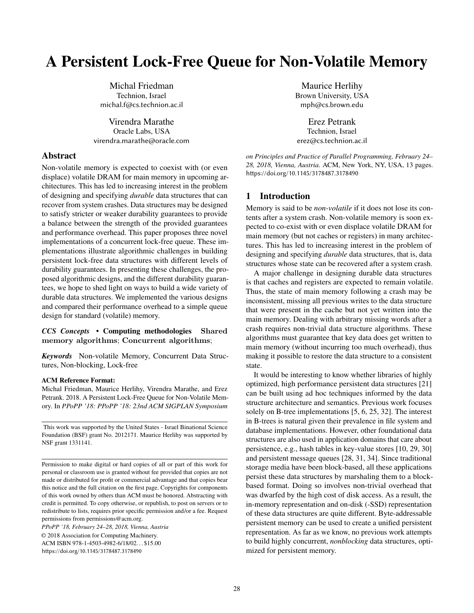# A Persistent Lock-Free Queue for Non-Volatile Memory

Michal Friedman Technion, Israel michal.f@cs.technion.ac.il

Virendra Marathe Oracle Labs, USA virendra.marathe@oracle.com

# **Abstract**

Non-volatile memory is expected to coexist with (or even displace) volatile DRAM for main memory in upcoming architectures. This has led to increasing interest in the problem of designing and specifying *durable* data structures that can recover from system crashes. Data structures may be designed to satisfy stricter or weaker durability guarantees to provide a balance between the strength of the provided guarantees and performance overhead. This paper proposes three novel implementations of a concurrent lock-free queue. These implementations illustrate algorithmic challenges in building persistent lock-free data structures with different levels of durability guarantees. In presenting these challenges, the proposed algorithmic designs, and the different durability guarantees, we hope to shed light on ways to build a wide variety of durable data structures. We implemented the various designs and compared their performance overhead to a simple queue design for standard (volatile) memory.

*CCS Concepts* • Computing methodologies Shared memory algorithms; Concurrent algorithms;

*Keywords* Non-volatile Memory, Concurrent Data Structures, Non-blocking, Lock-free

#### ACM Reference Format:

Michal Friedman, Maurice Herlihy, Virendra Marathe, and Erez Petrank. 2018. A Persistent Lock-Free Queue for Non-Volatile Memory. In *PPoPP '18: PPoPP '18: 23nd ACM SIGPLAN Symposium*

This work was supported by the United States - Israel Binational Science Foundation (BSF) grant No. 2012171. Maurice Herlihy was supported by NSF grant 1331141.

Permission to make digital or hard copies of all or part of this work for personal or classroom use is granted without fee provided that copies are not made or distributed for profit or commercial advantage and that copies bear this notice and the full citation on the first page. Copyrights for components of this work owned by others than ACM must be honored. Abstracting with credit is permitted. To copy otherwise, or republish, to post on servers or to redistribute to lists, requires prior specific permission and/or a fee. Request permissions from permissions@acm.org.

*PPoPP '18, February 24–28, 2018, Vienna, Austria* © 2018 Association for Computing Machinery. ACM ISBN 978-1-4503-4982-6/18/02. . . \$15.00 <https://doi.org/10.1145/3178487.3178490>

Maurice Herlihy Brown University, USA mph@cs.brown.edu

Erez Petrank Technion, Israel erez@cs.technion.ac.il

*on Principles and Practice of Parallel Programming, February 24– 28, 2018, Vienna, Austria.* ACM, New York, NY, USA, [13](#page-12-0) pages. <https://doi.org/10.1145/3178487.3178490>

# 1 Introduction

Memory is said to be *non-volatile* if it does not lose its contents after a system crash. Non-volatile memory is soon expected to co-exist with or even displace volatile DRAM for main memory (but not caches or registers) in many architectures. This has led to increasing interest in the problem of designing and specifying *durable* data structures, that is, data structures whose state can be recovered after a system crash.

A major challenge in designing durable data structures is that caches and registers are expected to remain volatile. Thus, the state of main memory following a crash may be inconsistent, missing all previous writes to the data structure that were present in the cache but not yet written into the main memory. Dealing with arbitrary missing words after a crash requires non-trivial data structure algorithms. These algorithms must guarantee that key data does get written to main memory (without incurring too much overhead), thus making it possible to restore the data structure to a consistent state.

It would be interesting to know whether libraries of highly optimized, high performance persistent data structures [\[21\]](#page-11-0) can be built using ad hoc techniques informed by the data structure architecture and semantics. Previous work focuses solely on B-tree implementations [\[5,](#page-11-1) [6,](#page-11-2) [25,](#page-11-3) [32\]](#page-11-4). The interest in B-trees is natural given their prevalence in file system and database implementations. However, other foundational data structures are also used in application domains that care about persistence, e.g., hash tables in key-value stores [\[10,](#page-11-5) [29,](#page-11-6) [30\]](#page-11-7) and persistent message queues [\[28,](#page-11-8) [31,](#page-11-9) [34\]](#page-12-1). Since traditional storage media have been block-based, all these applications persist these data structures by marshaling them to a blockbased format. Doing so involves non-trivial overhead that was dwarfed by the high cost of disk access. As a result, the in-memory representation and on-disk (-SSD) representation of these data structures are quite different. Byte-addressable persistent memory can be used to create a unified persistent representation. As far as we know, no previous work attempts to build highly concurrent, *nonblocking* data structures, optimized for persistent memory.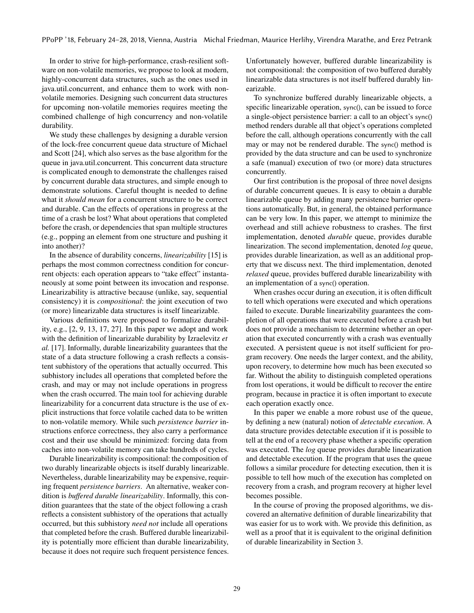In order to strive for high-performance, crash-resilient software on non-volatile memories, we propose to look at modern, highly-concurrent data structures, such as the ones used in java.util.concurrent, and enhance them to work with nonvolatile memories. Designing such concurrent data structures for upcoming non-volatile memories requires meeting the combined challenge of high concurrency and non-volatile durability.

We study these challenges by designing a durable version of the lock-free concurrent queue data structure of Michael and Scott [\[24\]](#page-11-10), which also serves as the base algorithm for the queue in java.util.concurrent. This concurrent data structure is complicated enough to demonstrate the challenges raised by concurrent durable data structures, and simple enough to demonstrate solutions. Careful thought is needed to define what it *should mean* for a concurrent structure to be correct and durable. Can the effects of operations in progress at the time of a crash be lost? What about operations that completed before the crash, or dependencies that span multiple structures (e.g., popping an element from one structure and pushing it into another)?

In the absence of durability concerns, *linearizability* [\[15\]](#page-11-11) is perhaps the most common correctness condition for concurrent objects: each operation appears to "take effect" instantaneously at some point between its invocation and response. Linearizability is attractive because (unlike, say, sequential consistency) it is *compositional*: the joint execution of two (or more) linearizable data structures is itself linearizable.

Various definitions were proposed to formalize durability, e.g., [\[2,](#page-11-12) [9,](#page-11-13) [13,](#page-11-14) [17,](#page-11-15) [27\]](#page-11-16). In this paper we adopt and work with the definition of linearizable durability by Izraelevitz *et al.* [\[17\]](#page-11-15). Informally, durable linearizability guarantees that the state of a data structure following a crash reflects a consistent subhistory of the operations that actually occurred. This subhistory includes all operations that completed before the crash, and may or may not include operations in progress when the crash occurred. The main tool for achieving durable linearizability for a concurrent data structure is the use of explicit instructions that force volatile cached data to be written to non-volatile memory. While such *persistence barrier* instructions enforce correctness, they also carry a performance cost and their use should be minimized: forcing data from caches into non-volatile memory can take hundreds of cycles.

Durable linearizability is compositional: the composition of two durably linearizable objects is itself durably linearizable. Nevertheless, durable linearizability may be expensive, requiring frequent *persistence barriers*. An alternative, weaker condition is *buffered durable linearizability*. Informally, this condition guarantees that the state of the object following a crash reflects a consistent subhistory of the operations that actually occurred, but this subhistory *need not* include all operations that completed before the crash. Buffered durable linearizability is potentially more efficient than durable linearizability, because it does not require such frequent persistence fences.

Unfortunately however, buffered durable linearizability is not compositional: the composition of two buffered durably linearizable data structures is not itself buffered durably linearizable.

To synchronize buffered durably linearizable objects, a specific linearizable operation, sync(), can be issued to force a single-object persistence barrier: a call to an object's sync() method renders durable all that object's operations completed before the call, although operations concurrently with the call may or may not be rendered durable. The sync() method is provided by the data structure and can be used to synchronize a safe (manual) execution of two (or more) data structures concurrently.

Our first contribution is the proposal of three novel designs of durable concurrent queues. It is easy to obtain a durable linearizable queue by adding many persistence barrier operations automatically. But, in general, the obtained performance can be very low. In this paper, we attempt to minimize the overhead and still achieve robustness to crashes. The first implementation, denoted *durable* queue, provides durable linearization. The second implementation, denoted *log* queue, provides durable linearization, as well as an additional property that we discuss next. The third implementation, denoted *relaxed* queue, provides buffered durable linearizability with an implementation of a sync() operation.

When crashes occur during an execution, it is often difficult to tell which operations were executed and which operations failed to execute. Durable linearizability guarantees the completion of all operations that were executed before a crash but does not provide a mechanism to determine whether an operation that executed concurrently with a crash was eventually executed. A persistent queue is not itself sufficient for program recovery. One needs the larger context, and the ability, upon recovery, to determine how much has been executed so far. Without the ability to distinguish completed operations from lost operations, it would be difficult to recover the entire program, because in practice it is often important to execute each operation exactly once.

In this paper we enable a more robust use of the queue, by defining a new (natural) notion of *detectable execution*. A data structure provides detectable execution if it is possible to tell at the end of a recovery phase whether a specific operation was executed. The *log* queue provides durable linearization and detectable execution. If the program that uses the queue follows a similar procedure for detecting execution, then it is possible to tell how much of the execution has completed on recovery from a crash, and program recovery at higher level becomes possible.

In the course of proving the proposed algorithms, we discovered an alternative definition of durable linearizability that was easier for us to work with. We provide this definition, as well as a proof that it is equivalent to the original definition of durable linearizability in Section [3.](#page-4-0)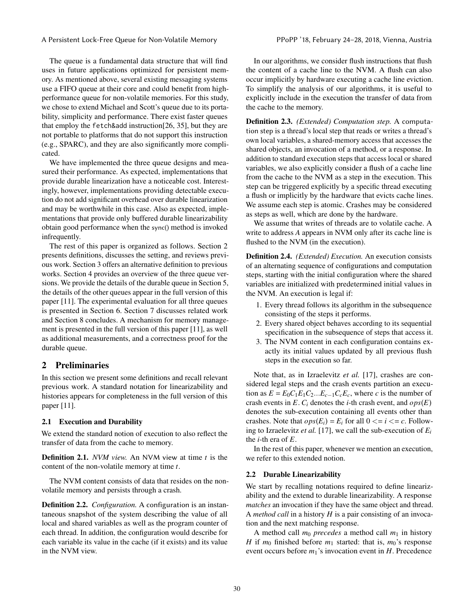A Persistent Lock-Free Queue for Non-Volatile Memory PPoPP '18, February 24–28, 2018, Vienna, Austria

The queue is a fundamental data structure that will find uses in future applications optimized for persistent memory. As mentioned above, several existing messaging systems use a FIFO queue at their core and could benefit from highperformance queue for non-volatile memories. For this study, we chose to extend Michael and Scott's queue due to its portability, simplicity and performance. There exist faster queues that employ the fetch&add instruction[\[26,](#page-11-17) [35\]](#page-12-2), but they are not portable to platforms that do not support this instruction (e.g., SPARC), and they are also significantly more complicated.

We have implemented the three queue designs and measured their performance. As expected, implementations that provide durable linearization have a noticeable cost. Interestingly, however, implementations providing detectable execution do not add significant overhead over durable linearization and may be worthwhile in this case. Also as expected, implementations that provide only buffered durable linearizability obtain good performance when the sync() method is invoked infrequently.

The rest of this paper is organized as follows. Section [2](#page-2-0) presents definitions, discusses the setting, and reviews previous work. Section [3](#page-4-0) offers an alternative definition to previous works. Section [4](#page-5-0) provides an overview of the three queue versions. We provide the details of the durable queue in Section [5,](#page-7-0) the details of the other queues appear in the full version of this paper [\[11\]](#page-11-18). The experimental evaluation for all three queues is presented in Section [6.](#page-9-0) Section [7](#page-10-0) discusses related work and Section [8](#page-10-1) concludes. A mechanism for memory management is presented in the full version of this paper [\[11\]](#page-11-18), as well as additional measurements, and a correctness proof for the durable queue.

# <span id="page-2-0"></span>2 Preliminaries

In this section we present some definitions and recall relevant previous work. A standard notation for linearizability and histories appears for completeness in the full version of this paper [\[11\]](#page-11-18).

## 2.1 Execution and Durability

We extend the standard notion of execution to also reflect the transfer of data from the cache to memory.

Definition 2.1. *NVM view.* An NVM view at time *t* is the content of the non-volatile memory at time *t*.

The NVM content consists of data that resides on the nonvolatile memory and persists through a crash.

Definition 2.2. *Configuration.* A configuration is an instantaneous snapshot of the system describing the value of all local and shared variables as well as the program counter of each thread. In addition, the configuration would describe for each variable its value in the cache (if it exists) and its value in the NVM view.

In our algorithms, we consider flush instructions that flush the content of a cache line to the NVM. A flush can also occur implicitly by hardware executing a cache line eviction. To simplify the analysis of our algorithms, it is useful to explicitly include in the execution the transfer of data from the cache to the memory.

Definition 2.3. *(Extended) Computation step.* A computation step is a thread's local step that reads or writes a thread's own local variables, a shared-memory access that accesses the shared objects, an invocation of a method, or a response. In addition to standard execution steps that access local or shared variables, we also explicitly consider a flush of a cache line from the cache to the NVM as a step in the execution. This step can be triggered explicitly by a specific thread executing a flush or implicitly by the hardware that evicts cache lines. We assume each step is atomic. Crashes may be considered as steps as well, which are done by the hardware.

We assume that writes of threads are to volatile cache. A write to address *A* appears in NVM only after its cache line is flushed to the NVM (in the execution).

Definition 2.4. *(Extended) Execution.* An execution consists of an alternating sequence of configurations and computation steps, starting with the initial configuration where the shared variables are initialized with predetermined initial values in the NVM. An execution is legal if:

- 1. Every thread follows its algorithm in the subsequence consisting of the steps it performs.
- 2. Every shared object behaves according to its sequential specification in the subsequence of steps that access it.
- 3. The NVM content in each configuration contains exactly its initial values updated by all previous flush steps in the execution so far.

Note that, as in Izraelevitz *et al.* [\[17\]](#page-11-15), crashes are considered legal steps and the crash events partition an execution as  $E = E_0 C_1 E_1 C_2 ... E_{c-1} C_c E_c$ , where *c* is the number of crash events in  $E$ .  $C_i$  denotes the *i*-th crash event, and  $ops(E)$ denotes the sub-execution containing all events other than crashes. Note that  $ops(E_i) = E_i$  for all  $0 \le i \le c$ . Following to Izraelevitz *et al.* [\[17\]](#page-11-15), we call the sub-execution of *E<sup>i</sup>* the *i*-th era of *E*.

In the rest of this paper, whenever we mention an execution, we refer to this extended notion.

#### 2.2 Durable Linearizability

We start by recalling notations required to define linearizability and the extend to durable linearizability. A response *matches* an invocation if they have the same object and thread. A *method call* in a history *H* is a pair consisting of an invocation and the next matching response.

A method call  $m_0$  *precedes* a method call  $m_1$  in history *H* if  $m_0$  finished before  $m_1$  started: that is,  $m_0$ 's response event occurs before *m*1's invocation event in *H*. Precedence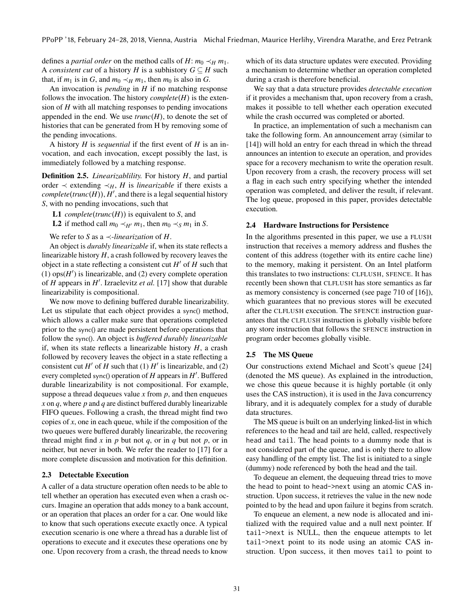defines a *partial order* on the method calls of *H*:  $m_0 \prec_H m_1$ . A *consistent cut* of a history *H* is a subhistory  $G \subseteq H$  such that, if  $m_1$  is in *G*, and  $m_0 \prec_H m_1$ , then  $m_0$  is also in *G*.

An invocation is *pending* in *H* if no matching response follows the invocation. The history  $complete(H)$  is the extension of *H* with all matching responses to pending invocations appended in the end. We use  $trunc(H)$ , to denote the set of histories that can be generated from H by removing some of the pending invocations.

A history *H* is *sequential* if the first event of *H* is an invocation, and each invocation, except possibly the last, is immediately followed by a matching response.

Definition 2.5. *Linearizablility.* For history *H*, and partial order  $\prec$  extending  $\prec$ <sub>*H</sub>*, *H* is *linearizable* if there exists a</sub>  $complete(true(H)), H'$ , and there is a legal sequential history *S*, with no pending invocations, such that

**L1** *complete*( $trunc(H)$ ) is equivalent to *S*, and **L2** if method call *m*<sup>0</sup> ≺*H*<sup>′</sup> *m*<sub>1</sub>, then *m*<sup>0</sup> ≺*S m*<sub>1</sub> in *S*.

We refer to *S* as a  $\prec$ -*linearization* of *H*.

An object is *durably linearizable* if, when its state reflects a linearizable history *H*, a crash followed by recovery leaves the object in a state reflecting a consistent cut  $H'$  of  $H$  such that (1)  $ops(H')$  is linearizable, and (2) every complete operation of *H* appears in *H* ′ . Izraelevitz *et al.* [\[17\]](#page-11-15) show that durable linearizability is compositional.

We now move to defining buffered durable linearizability. Let us stipulate that each object provides a sync() method, which allows a caller make sure that operations completed prior to the sync() are made persistent before operations that follow the sync(). An object is *buffered durably linearizable* if, when its state reflects a linearizable history *H*, a crash followed by recovery leaves the object in a state reflecting a consistent cut  $H'$  of  $H$  such that (1)  $H'$  is linearizable, and (2) every completed sync() operation of *H* appears in *H* ′ . Buffered durable linearizability is not compositional. For example, suppose a thread dequeues value *x* from *p*, and then enqueues *x* on *q*, where *p* and *q* are distinct buffered durably linearizable FIFO queues. Following a crash, the thread might find two copies of *x*, one in each queue, while if the composition of the two queues were buffered durably linearizable, the recovering thread might find  $x$  in  $p$  but not  $q$ , or in  $q$  but not  $p$ , or in neither, but never in both. We refer the reader to [\[17\]](#page-11-15) for a more complete discussion and motivation for this definition.

#### 2.3 Detectable Execution

A caller of a data structure operation often needs to be able to tell whether an operation has executed even when a crash occurs. Imagine an operation that adds money to a bank account, or an operation that places an order for a car. One would like to know that such operations execute exactly once. A typical execution scenario is one where a thread has a durable list of operations to execute and it executes these operations one by one. Upon recovery from a crash, the thread needs to know

which of its data structure updates were executed. Providing a mechanism to determine whether an operation completed during a crash is therefore beneficial.

We say that a data structure provides *detectable execution* if it provides a mechanism that, upon recovery from a crash, makes it possible to tell whether each operation executed while the crash occurred was completed or aborted.

In practice, an implementation of such a mechanism can take the following form. An announcement array (similar to [\[14\]](#page-11-19)) will hold an entry for each thread in which the thread announces an intention to execute an operation, and provides space for a recovery mechanism to write the operation result. Upon recovery from a crash, the recovery process will set a flag in each such entry specifying whether the intended operation was completed, and deliver the result, if relevant. The log queue, proposed in this paper, provides detectable execution.

## <span id="page-3-0"></span>2.4 Hardware Instructions for Persistence

In the algorithms presented in this paper, we use a FLUSH instruction that receives a memory address and flushes the content of this address (together with its entire cache line) to the memory, making it persistent. On an Intel platform this translates to two instructions: CLFLUSH, SFENCE. It has recently been shown that CLFLUSH has store semantics as far as memory consistency is concerned (see page 710 of [\[16\]](#page-11-20)), which guarantees that no previous stores will be executed after the CLFLUSH execution. The SFENCE instruction guarantees that the CLFLUSH instruction is globally visible before any store instruction that follows the SFENCE instruction in program order becomes globally visible.

#### 2.5 The MS Queue

Our constructions extend Michael and Scott's queue [\[24\]](#page-11-10) (denoted the MS queue). As explained in the introduction, we chose this queue because it is highly portable (it only uses the CAS instruction), it is used in the Java concurrency library, and it is adequately complex for a study of durable data structures.

The MS queue is built on an underlying linked-list in which references to the head and tail are held, called, respectively head and tail. The head points to a dummy node that is not considered part of the queue, and is only there to allow easy handling of the empty list. The list is initiated to a single (dummy) node referenced by both the head and the tail.

To dequeue an element, the dequeuing thread tries to move the head to point to head->next using an atomic CAS instruction. Upon success, it retrieves the value in the new node pointed to by the head and upon failure it begins from scratch.

To enqueue an element, a new node is allocated and initialized with the required value and a null next pointer. If tail->next is NULL, then the enqueue attempts to let tail->next point to its node using an atomic CAS instruction. Upon success, it then moves tail to point to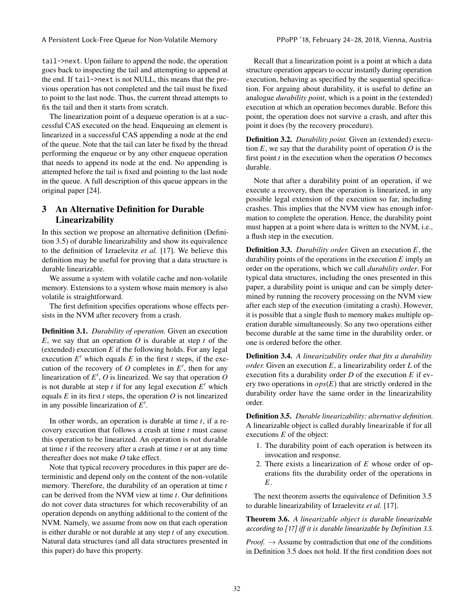tail->next. Upon failure to append the node, the operation goes back to inspecting the tail and attempting to append at the end. If tail->next is not NULL, this means that the previous operation has not completed and the tail must be fixed to point to the last node. Thus, the current thread attempts to fix the tail and then it starts from scratch.

The linearization point of a dequeue operation is at a successful CAS executed on the head. Enqueuing an element is linearized in a successful CAS appending a node at the end of the queue. Note that the tail can later be fixed by the thread performing the enqueue or by any other enqueue operation that needs to append its node at the end. No appending is attempted before the tail is fixed and pointing to the last node in the queue. A full description of this queue appears in the original paper [\[24\]](#page-11-10).

# <span id="page-4-0"></span>3 An Alternative Definition for Durable Linearizability

In this section we propose an alternative definition (Definition [3.5\)](#page-4-1) of durable linearizability and show its equivalence to the definition of Izraelevitz *et al.* [\[17\]](#page-11-15). We believe this definition may be useful for proving that a data structure is durable linearizable.

We assume a system with volatile cache and non-volatile memory. Extensions to a system whose main memory is also volatile is straightforward.

The first definition specifies operations whose effects persists in the NVM after recovery from a crash.

Definition 3.1. *Durability of operation.* Given an execution *E*, we say that an operation *O* is durable at step *t* of the (extended) execution *E* if the following holds. For any legal execution  $E'$  which equals  $E$  in the first  $t$  steps, if the execution of the recovery of  $O$  completes in  $E'$ , then for any linearization of *E* ′ , *O* is linearized. We say that operation *O* is not durable at step  $t$  if for any legal execution  $E'$  which equals  $E$  in its first  $t$  steps, the operation  $O$  is not linearized in any possible linearization of *E* ′ .

In other words, an operation is durable at time *t*, if a recovery execution that follows a crash at time *t* must cause this operation to be linearized. An operation is not durable at time *t* if the recovery after a crash at time *t* or at any time thereafter does not make *O* take effect.

Note that typical recovery procedures in this paper are deterministic and depend only on the content of the non-volatile memory. Therefore, the durability of an operation at time *t* can be derived from the NVM view at time *t*. Our definitions do not cover data structures for which recoverability of an operation depends on anything additional to the content of the NVM. Namely, we assume from now on that each operation is either durable or not durable at any step *t* of any execution. Natural data structures (and all data structures presented in this paper) do have this property.

Recall that a linearization point is a point at which a data structure operation appears to occur instantly during operation execution, behaving as specified by the sequential specification. For arguing about durability, it is useful to define an analogue *durability point*, which is a point in the (extended) execution at which an operation becomes durable. Before this point, the operation does not survive a crash, and after this point it does (by the recovery procedure).

Definition 3.2. *Durability point.* Given an (extended) execution  $E$ , we say that the durability point of operation  $O$  is the first point *t* in the execution when the operation *O* becomes durable.

Note that after a durability point of an operation, if we execute a recovery, then the operation is linearized, in any possible legal extension of the execution so far, including crashes. This implies that the NVM view has enough information to complete the operation. Hence, the durability point must happen at a point where data is written to the NVM, i.e., a flush step in the execution.

Definition 3.3. *Durability order.* Given an execution *E*, the durability points of the operations in the execution *E* imply an order on the operations, which we call *durability order*. For typical data structures, including the ones presented in this paper, a durability point is unique and can be simply determined by running the recovery processing on the NVM view after each step of the execution (imitating a crash). However, it is possible that a single flush to memory makes multiple operation durable simultaneously. So any two operations either become durable at the same time in the durability order, or one is ordered before the other.

Definition 3.4. *A linearizability order that fits a durability order.* Given an execution *E*, a linearizability order *L* of the execution fits a durability order *D* of the execution *E* if every two operations in  $ops(E)$  that are strictly ordered in the durability order have the same order in the linearizability order.

<span id="page-4-1"></span>Definition 3.5. *Durable linearizability: alternative definition.* A linearizable object is called durably linearizable if for all executions *E* of the object:

- 1. The durability point of each operation is between its invocation and response.
- 2. There exists a linearization of *E* whose order of operations fits the durability order of the operations in *E*.

The next theorem asserts the equivalence of Definition [3.5](#page-4-1) to durable linearizability of Izraelevitz *et al.* [\[17\]](#page-11-15).

Theorem 3.6. *A linearizable object is* durable linearizable according to [\[17\]](#page-11-15) *iff it is* durable linearizable by Definition [3.5](#page-4-1)*.*

*Proof.*  $\rightarrow$  Assume by contradiction that one of the conditions in Definition [3.5](#page-4-1) does not hold. If the first condition does not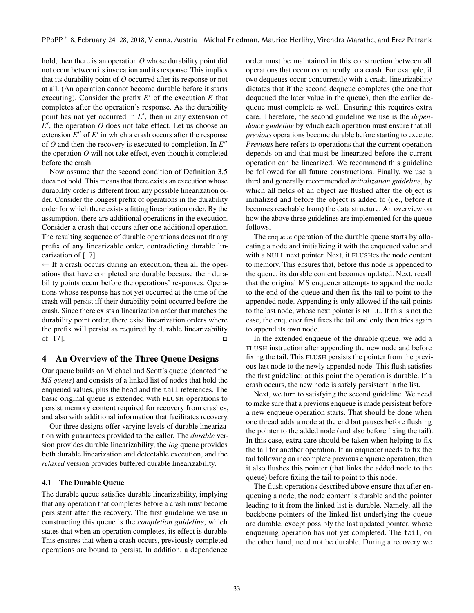hold, then there is an operation *O* whose durability point did not occur between its invocation and its response. This implies that its durability point of *O* occurred after its response or not at all. (An operation cannot become durable before it starts executing). Consider the prefix  $E'$  of the execution  $E$  that completes after the operation's response. As the durability point has not yet occurred in  $E'$ , then in any extension of  $E'$ , the operation  $O$  does not take effect. Let us choose an extension  $E''$  of  $E'$  in which a crash occurs after the response of *O* and then the recovery is executed to completion. In *E* ′′ the operation *O* will not take effect, even though it completed before the crash.

Now assume that the second condition of Definition [3.5](#page-4-1) does not hold. This means that there exists an execution whose durability order is different from any possible linearization order. Consider the longest prefix of operations in the durability order for which there exists a fitting linearization order. By the assumption, there are additional operations in the execution. Consider a crash that occurs after one additional operation. The resulting sequence of durable operations does not fit any prefix of any linearizable order, contradicting durable linearization of [\[17\]](#page-11-15).

 $\leftarrow$  If a crash occurs during an execution, then all the operations that have completed are durable because their durability points occur before the operations' responses. Operations whose response has not yet occurred at the time of the crash will persist iff their durability point occurred before the crash. Since there exists a linearization order that matches the durability point order, there exist linearization orders where the prefix will persist as required by durable linearizability of [\[17\]](#page-11-15). □

# <span id="page-5-0"></span>4 An Overview of the Three Queue Designs

Our queue builds on Michael and Scott's queue (denoted the *MS queue*) and consists of a linked list of nodes that hold the enqueued values, plus the head and the tail references. The basic original queue is extended with FLUSH operations to persist memory content required for recovery from crashes, and also with additional information that facilitates recovery.

Our three designs offer varying levels of durable linearization with guarantees provided to the caller. The *durable* version provides durable linearizability, the *log* queue provides both durable linearization and detectable execution, and the *relaxed* version provides buffered durable linearizability.

# 4.1 The Durable Queue

The durable queue satisfies durable linearizability, implying that any operation that completes before a crash must become persistent after the recovery. The first guideline we use in constructing this queue is the *completion guideline*, which states that when an operation completes, its effect is durable. This ensures that when a crash occurs, previously completed operations are bound to persist. In addition, a dependence

order must be maintained in this construction between all operations that occur concurrently to a crash. For example, if two dequeues occur concurrently with a crash, linearizability dictates that if the second dequeue completes (the one that dequeued the later value in the queue), then the earlier dequeue must complete as well. Ensuring this requires extra care. Therefore, the second guideline we use is the *dependence guideline* by which each operation must ensure that all *previous* operations become durable before starting to execute. *Previous* here refers to operations that the current operation depends on and that must be linearized before the current operation can be linearized. We recommend this guideline be followed for all future constructions. Finally, we use a third and generally recommended *initialization guideline*, by which all fields of an object are flushed after the object is initialized and before the object is added to (i.e., before it becomes reachable from) the data structure. An overview on how the above three guidelines are implemented for the queue follows.

The enqueue operation of the durable queue starts by allocating a node and initializing it with the enqueued value and with a NULL next pointer. Next, it FLUSHes the node content to memory. This ensures that, before this node is appended to the queue, its durable content becomes updated. Next, recall that the original MS enqueuer attempts to append the node to the end of the queue and then fix the tail to point to the appended node. Appending is only allowed if the tail points to the last node, whose next pointer is NULL. If this is not the case, the enqueuer first fixes the tail and only then tries again to append its own node.

In the extended enqueue of the durable queue, we add a FLUSH instruction after appending the new node and before fixing the tail. This FLUSH persists the pointer from the previous last node to the newly appended node. This flush satisfies the first guideline: at this point the operation is durable. If a crash occurs, the new node is safely persistent in the list.

Next, we turn to satisfying the second guideline. We need to make sure that a previous enqueue is made persistent before a new enqueue operation starts. That should be done when one thread adds a node at the end but pauses before flushing the pointer to the added node (and also before fixing the tail). In this case, extra care should be taken when helping to fix the tail for another operation. If an enqueuer needs to fix the tail following an incomplete previous enqueue operation, then it also flushes this pointer (that links the added node to the queue) before fixing the tail to point to this node.

The flush operations described above ensure that after enqueuing a node, the node content is durable and the pointer leading to it from the linked list is durable. Namely, all the backbone pointers of the linked-list underlying the queue are durable, except possibly the last updated pointer, whose enqueuing operation has not yet completed. The tail, on the other hand, need not be durable. During a recovery we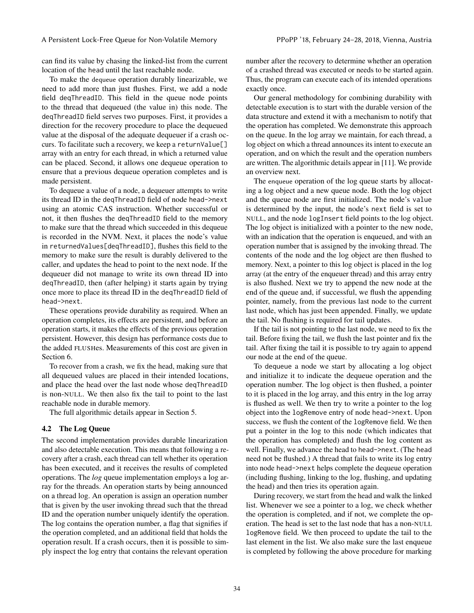can find its value by chasing the linked-list from the current location of the head until the last reachable node.

To make the dequeue operation durably linearizable, we need to add more than just flushes. First, we add a node field deqThreadID. This field in the queue node points to the thread that dequeued (the value in) this node. The deqThreadID field serves two purposes. First, it provides a direction for the recovery procedure to place the dequeued value at the disposal of the adequate dequeuer if a crash occurs. To facilitate such a recovery, we keep a returnValue[] array with an entry for each thread, in which a returned value can be placed. Second, it allows one dequeue operation to ensure that a previous dequeue operation completes and is made persistent.

To dequeue a value of a node, a dequeuer attempts to write its thread ID in the deqThreadID field of node head->next using an atomic CAS instruction. Whether successful or not, it then flushes the deqThreadID field to the memory to make sure that the thread which succeeded in this dequeue is recorded in the NVM. Next, it places the node's value in returnedValues[deqThreadID], flushes this field to the memory to make sure the result is durably delivered to the caller, and updates the head to point to the next node. If the dequeuer did not manage to write its own thread ID into deqThreadID, then (after helping) it starts again by trying once more to place its thread ID in the deqThreadID field of head->next.

These operations provide durability as required. When an operation completes, its effects are persistent, and before an operation starts, it makes the effects of the previous operation persistent. However, this design has performance costs due to the added FLUSHes. Measurements of this cost are given in Section [6.](#page-9-0)

To recover from a crash, we fix the head, making sure that all dequeued values are placed in their intended locations, and place the head over the last node whose deqThreadID is non-NULL. We then also fix the tail to point to the last reachable node in durable memory.

The full algorithmic details appear in Section [5.](#page-7-0)

### 4.2 The Log Queue

The second implementation provides durable linearization and also detectable execution. This means that following a recovery after a crash, each thread can tell whether its operation has been executed, and it receives the results of completed operations. The *log* queue implementation employs a log array for the threads. An operation starts by being announced on a thread log. An operation is assign an operation number that is given by the user invoking thread such that the thread ID and the operation number uniquely identify the operation. The log contains the operation number, a flag that signifies if the operation completed, and an additional field that holds the operation result. If a crash occurs, then it is possible to simply inspect the log entry that contains the relevant operation

number after the recovery to determine whether an operation of a crashed thread was executed or needs to be started again. Thus, the program can execute each of its intended operations exactly once.

Our general methodology for combining durability with detectable execution is to start with the durable version of the data structure and extend it with a mechanism to notify that the operation has completed. We demonstrate this approach on the queue. In the log array we maintain, for each thread, a log object on which a thread announces its intent to execute an operation, and on which the result and the operation numbers are written. The algorithmic details appear in [\[11\]](#page-11-18). We provide an overview next.

The enqueue operation of the log queue starts by allocating a log object and a new queue node. Both the log object and the queue node are first initialized. The node's value is determined by the input, the node's next field is set to NULL, and the node logInsert field points to the log object. The log object is initialized with a pointer to the new node, with an indication that the operation is enqueued, and with an operation number that is assigned by the invoking thread. The contents of the node and the log object are then flushed to memory. Next, a pointer to this log object is placed in the log array (at the entry of the enqueuer thread) and this array entry is also flushed. Next we try to append the new node at the end of the queue and, if successful, we flush the appending pointer, namely, from the previous last node to the current last node, which has just been appended. Finally, we update the tail. No flushing is required for tail updates.

If the tail is not pointing to the last node, we need to fix the tail. Before fixing the tail, we flush the last pointer and fix the tail. After fixing the tail it is possible to try again to append our node at the end of the queue.

To dequeue a node we start by allocating a log object and initialize it to indicate the dequeue operation and the operation number. The log object is then flushed, a pointer to it is placed in the log array, and this entry in the log array is flushed as well. We then try to write a pointer to the log object into the logRemove entry of node head->next. Upon success, we flush the content of the logRemove field. We then put a pointer in the log to this node (which indicates that the operation has completed) and flush the log content as well. Finally, we advance the head to head->next. (The head need not be flushed.) A thread that fails to write its log entry into node head->next helps complete the dequeue operation (including flushing, linking to the log, flushing, and updating the head) and then tries its operation again.

During recovery, we start from the head and walk the linked list. Whenever we see a pointer to a log, we check whether the operation is completed, and if not, we complete the operation. The head is set to the last node that has a non-NULL logRemove field. We then proceed to update the tail to the last element in the list. We also make sure the last enqueue is completed by following the above procedure for marking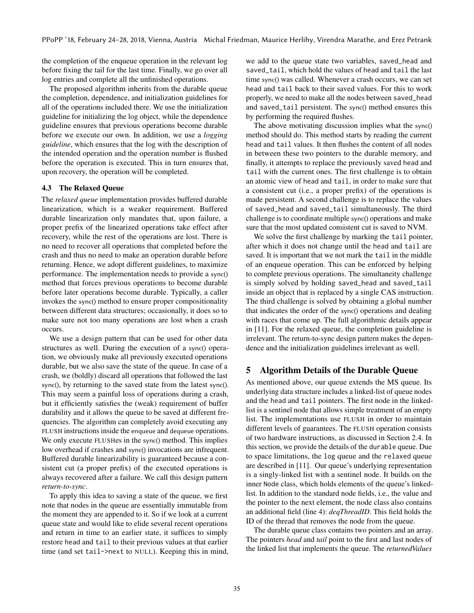the completion of the enqueue operation in the relevant log before fixing the tail for the last time. Finally, we go over all log entries and complete all the unfinished operations.

The proposed algorithm inherits from the durable queue the completion, dependence, and initialization guidelines for all of the operations included there. We use the initialization guideline for initializing the log object, while the dependence guideline ensures that previous operations become durable before we execute our own. In addition, we use a *logging guideline*, which ensures that the log with the description of the intended operation and the operation number is flushed before the operation is executed. This in turn ensures that, upon recovery, the operation will be completed.

## 4.3 The Relaxed Queue

The *relaxed queue* implementation provides buffered durable linearization, which is a weaker requirement. Buffered durable linearization only mandates that, upon failure, a proper prefix of the linearized operations take effect after recovery, while the rest of the operations are lost. There is no need to recover all operations that completed before the crash and thus no need to make an operation durable before returning. Hence, we adopt different guidelines, to maximize performance. The implementation needs to provide a sync() method that forces previous operations to become durable before later operations become durable. Typically, a caller invokes the sync() method to ensure proper compositionality between different data structures; occasionally, it does so to make sure not too many operations are lost when a crash occurs.

We use a design pattern that can be used for other data structures as well. During the execution of a sync() operation, we obviously make all previously executed operations durable, but we also save the state of the queue. In case of a crash, we (boldly) discard all operations that followed the last sync(), by returning to the saved state from the latest sync(). This may seem a painful loss of operations during a crash, but it efficiently satisfies the (weak) requirement of buffer durability and it allows the queue to be saved at different frequencies. The algorithm can completely avoid executing any FLUSH instructions inside the enqueue and dequeue operations. We only execute FLUSHes in the sync() method. This implies low overhead if crashes and sync() invocations are infrequent. Buffered durable linearizability is guaranteed because a consistent cut (a proper prefix) of the executed operations is always recovered after a failure. We call this design pattern *return-to-sync*.

To apply this idea to saving a state of the queue, we first note that nodes in the queue are essentially immutable from the moment they are appended to it. So if we look at a current queue state and would like to elide several recent operations and return in time to an earlier state, it suffices to simply restore head and tail to their previous values at that earlier time (and set tail->next to NULL). Keeping this in mind, we add to the queue state two variables, saved\_head and saved\_tail, which hold the values of head and tail the last time sync() was called. Whenever a crash occurs, we can set head and tail back to their saved values. For this to work properly, we need to make all the nodes between saved\_head and saved\_tail persistent. The sync() method ensures this by performing the required flushes.

The above motivating discussion implies what the sync() method should do. This method starts by reading the current head and tail values. It then flushes the content of all nodes in between these two pointers to the durable memory, and finally, it attempts to replace the previously saved head and tail with the current ones. The first challenge is to obtain an atomic view of head and tail, in order to make sure that a consistent cut (i.e., a proper prefix) of the operations is made persistent. A second challenge is to replace the values of saved\_head and saved\_tail simultaneously. The third challenge is to coordinate multiple sync() operations and make sure that the most updated consistent cut is saved to NVM.

We solve the first challenge by marking the tail pointer, after which it does not change until the head and tail are saved. It is important that we not mark the tail in the middle of an enqueue operation. This can be enforced by helping to complete previous operations. The simultaneity challenge is simply solved by holding saved\_head and saved\_tail inside an object that is replaced by a single CAS instruction. The third challenge is solved by obtaining a global number that indicates the order of the sync() operations and dealing with races that come up. The full algorithmic details appear in [\[11\]](#page-11-18). For the relaxed queue, the completion guideline is irrelevant. The return-to-sync design pattern makes the dependence and the initialization guidelines irrelevant as well.

# <span id="page-7-0"></span>5 Algorithm Details of the Durable Queue

As mentioned above, our queue extends the MS queue. Its underlying data structure includes a linked-list of queue nodes and the head and tail pointers. The first node in the linkedlist is a sentinel node that allows simple treatment of an empty list. The implementations use FLUSH in order to maintain different levels of guarantees. The FLUSH operation consists of two hardware instructions, as discussed in Section [2.4.](#page-3-0) In this section, we provide the details of the durable queue. Due to space limitations, the log queue and the relaxed queue are described in [\[11\]](#page-11-18). Our queue's underlying representation is a singly-linked list with a sentinel node. It builds on the inner Node class, which holds elements of the queue's linkedlist. In addition to the standard node fields, i.e., the value and the pointer to the next element, the node class also contains an additional field (line [4\)](#page-8-0): *deqThreadID*. This field holds the ID of the thread that removes the node from the queue.

The durable queue class contains two pointers and an array. The pointers *head* and *tail* point to the first and last nodes of the linked list that implements the queue. The *returnedValues*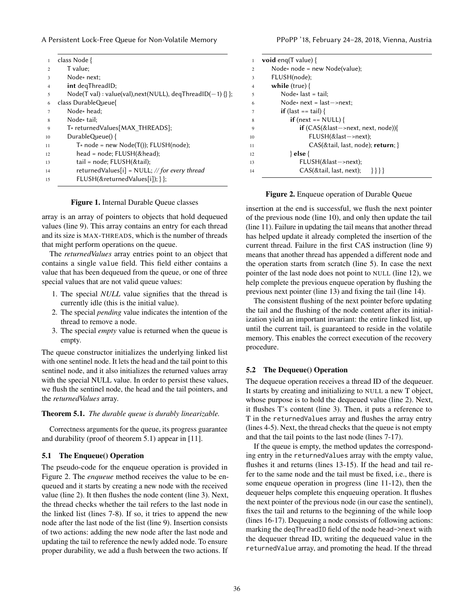A Persistent Lock-Free Queue for Non-Volatile Memory PPoPP '18, February 24–28, 2018, Vienna, Austria

<span id="page-8-1"></span><span id="page-8-0"></span>

| 1              | class Node {                                                |
|----------------|-------------------------------------------------------------|
| $\overline{c}$ | T value:                                                    |
| 3              | Node* next:                                                 |
| $\overline{4}$ | int degThreadID;                                            |
| 5              | Node(T val) : value(val), next(NULL), deqThreadID(-1) {} }; |
| 6              | class DurableQueue{                                         |
| $\overline{7}$ | Node* head:                                                 |
| 8              | Node <sub>*</sub> tail:                                     |
| 9              | T* returnedValues[MAX THREADS];                             |
| 10             | DurableQueue() {                                            |
| 11             | $T*$ node = new Node(T()); FLUSH(node);                     |
| 12             | head = node; FLUSH(&head);                                  |
| 13             | $tail = node; FLUSH(\&tail);$                               |
| 14             | returned Values[i] = $NULL$ ; // for every thread           |
| 15             | $FLUSH(&RreturnedValues[i]);$ } };                          |
|                |                                                             |

Figure 1. Internal Durable Queue classes

array is an array of pointers to objects that hold dequeued values (line [9\)](#page-8-1). This array contains an entry for each thread and its size is MAX-THREADS, which is the number of threads that might perform operations on the queue.

The *returnedValues* array entries point to an object that contains a single value field. This field either contains a value that has been dequeued from the queue, or one of three special values that are not valid queue values:

- 1. The special *NULL* value signifies that the thread is currently idle (this is the initial value).
- 2. The special *pending* value indicates the intention of the thread to remove a node.
- 3. The special *empty* value is returned when the queue is empty.

The queue constructor initializes the underlying linked list with one sentinel node. It lets the head and the tail point to this sentinel node, and it also initializes the returned values array with the special NULL value. In order to persist these values, we flush the sentinel node, the head and the tail pointers, and the *returnedValues* array.

## <span id="page-8-2"></span>Theorem 5.1. *The durable queue is durably linearizable.*

Correctness arguments for the queue, its progress guarantee and durability (proof of theorem [5.1\)](#page-8-2) appear in [\[11\]](#page-11-18).

## 5.1 The Enqueue() Operation

The pseudo-code for the enqueue operation is provided in Figure [2.](#page-8-3) The *enqueue* method receives the value to be enqueued and it starts by creating a new node with the received value (line [2\)](#page-8-4). It then flushes the node content (line [3\)](#page-8-5). Next, the thread checks whether the tail refers to the last node in the linked list (lines [7-](#page-8-6)[8\)](#page-8-7). If so, it tries to append the new node after the last node of the list (line [9\)](#page-8-8). Insertion consists of two actions: adding the new node after the last node and updating the tail to reference the newly added node. To ensure proper durability, we add a flush between the two actions. If

<span id="page-8-11"></span><span id="page-8-8"></span><span id="page-8-7"></span><span id="page-8-6"></span><span id="page-8-5"></span><span id="page-8-4"></span><span id="page-8-3"></span>

| $\mathbf{1}$   | <b>void</b> eng(T value) {          |
|----------------|-------------------------------------|
| $\overline{c}$ | Node* node = new Node(value);       |
| 3              | FLUSH(node);                        |
| $\overline{4}$ | while (true) $\{$                   |
| 5              | Node $\star$ last = tail:           |
| 6              | Node* next = $last$ -next:          |
| $\overline{7}$ | if (last $=$ tail) {                |
| 8              | $if$ (next == NULL) {               |
| 9              | if $(CAS(& ast->next,next,node))$   |
| 10             | FLUSH(&last->next);                 |
| 11             | $CAS(&tail, last, node);$ return; } |
| 12             | $\}$ else $\{$                      |
| 13             | FLUSH(&last->next);                 |
| 14             | CAS(&tail, last, next);<br>}}}}     |

#### <span id="page-8-14"></span><span id="page-8-13"></span><span id="page-8-12"></span><span id="page-8-10"></span><span id="page-8-9"></span>Figure 2. Enqueue operation of Durable Queue

insertion at the end is successful, we flush the next pointer of the previous node (line [10\)](#page-8-9), and only then update the tail (line [11\)](#page-8-10). Failure in updating the tail means that another thread has helped update it already completed the insertion of the current thread. Failure in the first CAS instruction (line [9\)](#page-8-8) means that another thread has appended a different node and the operation starts from scratch (line [5\)](#page-8-11). In case the next pointer of the last node does not point to NULL (line [12\)](#page-8-12), we help complete the previous enqueue operation by flushing the previous next pointer (line [13\)](#page-8-13) and fixing the tail (line [14\)](#page-8-14).

The consistent flushing of the next pointer before updating the tail and the flushing of the node content after its initialization yield an important invariant: the entire linked list, up until the current tail, is guaranteed to reside in the volatile memory. This enables the correct execution of the recovery procedure.

# 5.2 The Dequeue() Operation

The dequeue operation receives a thread ID of the dequeuer. It starts by creating and initializing to NULL a new T object, whose purpose is to hold the dequeued value (line [2\)](#page-9-1). Next, it flushes T's content (line [3\)](#page-9-2). Then, it puts a reference to T in the returnedValues array and flushes the array entry (lines [4-](#page-9-3)[5\)](#page-9-4). Next, the thread checks that the queue is not empty and that the tail points to the last node (lines [7-](#page-9-5)[17\)](#page-9-6).

If the queue is empty, the method updates the corresponding entry in the returnedValues array with the empty value, flushes it and returns (lines [13-](#page-9-7)[15\)](#page-9-8). If the head and tail refer to the same node and the tail must be fixed, i.e., there is some enqueue operation in progress (line [11-](#page-9-9)[12\)](#page-9-10), then the dequeuer helps complete this enqueuing operation. It flushes the next pointer of the previous node (in our case the sentinel), fixes the tail and returns to the beginning of the while loop (lines [16-](#page-9-11)[17\)](#page-9-6). Dequeuing a node consists of following actions: marking the deqThreadID field of the node head->next with the dequeuer thread ID, writing the dequeued value in the returnedValue array, and promoting the head. If the thread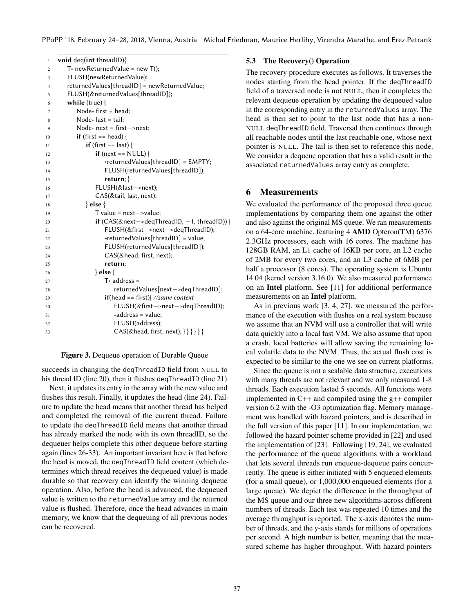<span id="page-9-11"></span><span id="page-9-10"></span><span id="page-9-9"></span><span id="page-9-8"></span><span id="page-9-7"></span><span id="page-9-6"></span><span id="page-9-5"></span><span id="page-9-4"></span><span id="page-9-3"></span><span id="page-9-2"></span><span id="page-9-1"></span>

| 1              | <b>void</b> deg(int threadID){                     |
|----------------|----------------------------------------------------|
| $\overline{c}$ | $T^*$ new Returned Value = new T();                |
| 3              | FLUSH(newReturnedValue);                           |
| 4              | returnedValues[threadID] = newReturnedValue;       |
| 5              | FLUSH(&returnedValues[threadID]);                  |
| 6              | while (true) $\{$                                  |
| 7              | Node* first = head;                                |
| 8              | Node $*$ last = tail:                              |
| 9              | Node* $next = first -$ -next;                      |
| 10             | <b>if</b> (first == head) {                        |
| 11             | <b>if</b> (first == last) {                        |
| 12             | if (next == $NULL$ ) {                             |
| 13             | *returnedValues[threadID] = EMPTY;                 |
| 14             | FLUSH(returnedValues[threadID]);                   |
| 15             | return; $\}$                                       |
| 16             | FLUSH(&last->next);                                |
| 17             | CAS(&tail, last, next);                            |
| 18             | $\}$ else $\{$                                     |
| 19             | $T$ value = next ->value:                          |
| 20             | if $(CAS(\&next{-} >deqThreadID, -1, threadID))$ { |
| 21             | FLUSH(&first->next->degThreadID);                  |
| 22             | *returnedValues[threadID] = value;                 |
| 23             | FLUSH(returnedValues[threadID]);                   |
| 24             | CAS(&head, first, next);                           |
| 25             | return:                                            |
| 26             | $\}$ else $\{$                                     |
| 27             | $T*$ address =                                     |
| 28             | returnedValues[next->deqThreadID];                 |
| 29             | $if(head == first)$ //same context                 |
| 30             | FLUSH(&first->next->deqThreadID);                  |
| 31             | *address = value;                                  |
| 32             | FLUSH(address);                                    |
| 33             | $CAS(&head, first, next); \{\} \} \}$              |
|                |                                                    |

#### <span id="page-9-16"></span><span id="page-9-15"></span><span id="page-9-14"></span><span id="page-9-13"></span><span id="page-9-12"></span>Figure 3. Dequeue operation of Durable Queue

succeeds in changing the deqThreadID field from NULL to his thread ID (line [20\)](#page-9-12), then it flushes deqThreadID (line [21\)](#page-9-13).

Next, it updates its entry in the array with the new value and flushes this result. Finally, it updates the head (line [24\)](#page-9-14). Failure to update the head means that another thread has helped and completed the removal of the current thread. Failure to update the deqThreadID field means that another thread has already marked the node with its own threadID, so the dequeuer helps complete this other dequeue before starting again (lines [26](#page-9-15)[-33\)](#page-9-16). An important invariant here is that before the head is moved, the deqThreadID field content (which determines which thread receives the dequeued value) is made durable so that recovery can identify the winning dequeue operation. Also, before the head is advanced, the dequeued value is written to the returnedValue array and the returned value is flushed. Therefore, once the head advances in main memory, we know that the dequeuing of all previous nodes can be recovered.

#### 5.3 The Recovery() Operation

The recovery procedure executes as follows. It traverses the nodes starting from the head pointer. If the deqThreadID field of a traversed node is not NULL, then it completes the relevant dequeue operation by updating the dequeued value in the corresponding entry in the returnedValues array. The head is then set to point to the last node that has a non-NULL deqThreadID field. Traversal then continues through all reachable nodes until the last reachable one, whose next pointer is NULL. The tail is then set to reference this node. We consider a dequeue operation that has a valid result in the associated returnedValues array entry as complete.

## <span id="page-9-0"></span>6 Measurements

We evaluated the performance of the proposed three queue implementations by comparing them one against the other and also against the original MS queue. We ran measurements on a 64-core machine, featuring 4 AMD Opteron(TM) 6376 2.3GHz processors, each with 16 cores. The machine has 128GB RAM, an L1 cache of 16KB per core, an L2 cache of 2MB for every two cores, and an L3 cache of 6MB per half a processor (8 cores). The operating system is Ubuntu 14.04 (kernel version 3.16.0). We also measured performance on an Intel platform. See [\[11\]](#page-11-18) for additional performance measurements on an Intel platform.

As in previous work [\[3,](#page-11-21) [4,](#page-11-22) [27\]](#page-11-16), we measured the performance of the execution with flushes on a real system because we assume that an NVM will use a controller that will write data quickly into a local fast VM. We also assume that upon a crash, local batteries will allow saving the remaining local volatile data to the NVM. Thus, the actual flush cost is expected to be similar to the one we see on current platforms.

Since the queue is not a scalable data structure, executions with many threads are not relevant and we only measured 1-8 threads. Each execution lasted 5 seconds. All functions were implemented in C++ and compiled using the g++ compiler version 6.2 with the -O3 optimization flag. Memory management was handled with hazard pointers, and is described in the full version of this paper [\[11\]](#page-11-18). In our implementation, we followed the hazard pointer scheme provided in [\[22\]](#page-11-23) and used the implementation of [\[23\]](#page-11-24). Following [\[19,](#page-11-25) [24\]](#page-11-10), we evaluated the performance of the queue algorithms with a workload that lets several threads run enqueue-dequeue pairs concurrently. The queue is either initiated with 5 enqueued elements (for a small queue), or 1,000,000 enqueued elements (for a large queue). We depict the difference in the throughput of the MS queue and our three new algorithms across different numbers of threads. Each test was repeated 10 times and the average throughput is reported. The x-axis denotes the number of threads, and the y-axis stands for millions of operations per second. A high number is better, meaning that the measured scheme has higher throughput. With hazard pointers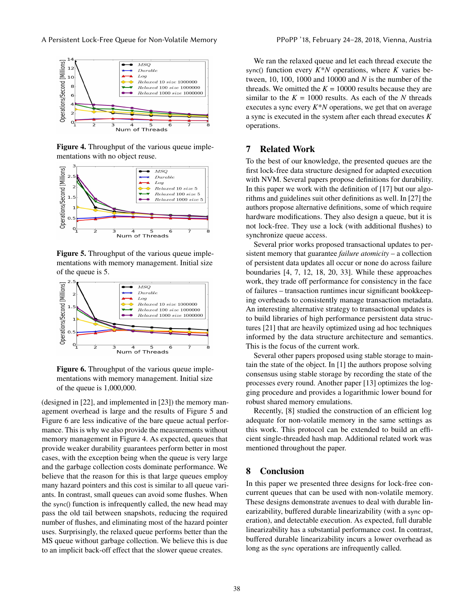<span id="page-10-2"></span>

Figure 4. Throughput of the various queue implementations with no object reuse.



Figure 5. Throughput of the various queue implementations with memory management. Initial size of the queue is 5.



Figure 6. Throughput of the various queue implementations with memory management. Initial size of the queue is 1,000,000.

(designed in [\[22\]](#page-11-23), and implemented in [\[23\]](#page-11-24)) the memory management overhead is large and the results of Figure [5](#page-10-2) and Figure [6](#page-10-2) are less indicative of the bare queue actual performance. This is why we also provide the measurements without memory management in Figure [4.](#page-10-2) As expected, queues that provide weaker durability guarantees perform better in most cases, with the exception being when the queue is very large and the garbage collection costs dominate performance. We believe that the reason for this is that large queues employ many hazard pointers and this cost is similar to all queue variants. In contrast, small queues can avoid some flushes. When the sync() function is infrequently called, the new head may pass the old tail between snapshots, reducing the required number of flushes, and eliminating most of the hazard pointer uses. Surprisingly, the relaxed queue performs better than the MS queue without garbage collection. We believe this is due to an implicit back-off effect that the slower queue creates.

We ran the relaxed queue and let each thread execute the sync() function every  $K^*N$  operations, where K varies between, 10, 100, 1000 and 10000 and *N* is the number of the threads. We omitted the  $K = 10000$  results because they are similar to the  $K = 1000$  results. As each of the *N* threads executes a sync every *K*\**N* operations, we get that on average a sync is executed in the system after each thread executes *K* operations.

## <span id="page-10-0"></span>7 Related Work

To the best of our knowledge, the presented queues are the first lock-free data structure designed for adapted execution with NVM. Several papers propose definitions for durability. In this paper we work with the definition of [\[17\]](#page-11-15) but our algorithms and guidelines suit other definitions as well. In [\[27\]](#page-11-16) the authors propose alternative definitions, some of which require hardware modifications. They also design a queue, but it is not lock-free. They use a lock (with additional flushes) to synchronize queue access.

Several prior works proposed transactional updates to persistent memory that guarantee *failure atomicity* – a collection of persistent data updates all occur or none do across failure boundaries [\[4,](#page-11-22) [7,](#page-11-26) [12,](#page-11-27) [18,](#page-11-28) [20,](#page-11-29) [33\]](#page-12-3). While these approaches work, they trade off performance for consistency in the face of failures – transaction runtimes incur significant bookkeeping overheads to consistently manage transaction metadata. An interesting alternative strategy to transactional updates is to build libraries of high performance persistent data structures [\[21\]](#page-11-0) that are heavily optimized using ad hoc techniques informed by the data structure architecture and semantics. This is the focus of the current work.

Several other papers proposed using stable storage to maintain the state of the object. In [\[1\]](#page-11-30) the authors propose solving consensus using stable storage by recording the state of the processes every round. Another paper [\[13\]](#page-11-14) optimizes the logging procedure and provides a logarithmic lower bound for robust shared memory emulations.

Recently, [\[8\]](#page-11-31) studied the construction of an efficient log adequate for non-volatile memory in the same settings as this work. This protocol can be extended to build an efficient single-threaded hash map. Additional related work was mentioned throughout the paper.

## <span id="page-10-1"></span>8 Conclusion

In this paper we presented three designs for lock-free concurrent queues that can be used with non-volatile memory. These designs demonstrate avenues to deal with durable linearizability, buffered durable linearizability (with a sync operation), and detectable execution. As expected, full durable linearizability has a substantial performance cost. In contrast, buffered durable linearizability incurs a lower overhead as long as the sync operations are infrequently called.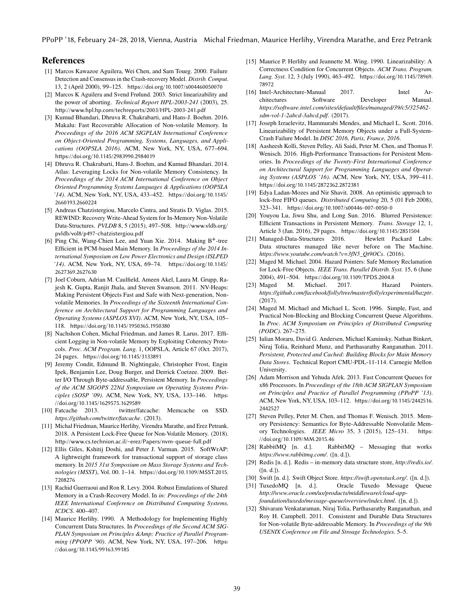PPoPP '18, February 24–28, 2018, Vienna, Austria Michal Friedman, Maurice Herlihy, Virendra Marathe, and Erez Petrank

# References

- <span id="page-11-30"></span>[1] Marcos Kawazoe Aguilera, Wei Chen, and Sam Toueg. 2000. Failure Detection and Consensus in the Crash-recovery Model. *Distrib. Comput.* 13, 2 (April 2000), 99–125. <https://doi.org/10.1007/s004460050070>
- <span id="page-11-12"></span>[2] Marcos K Aguilera and Svend Frølund. 2003. Strict linearizability and the power of aborting. *Technical Report HPL-2003-241* (2003), 25. <http://www.hpl.hp.com/techreports/2003/HPL-2003-241.pdf>
- <span id="page-11-21"></span>[3] Kumud Bhandari, Dhruva R. Chakrabarti, and Hans-J. Boehm. 2016. Makalu: Fast Recoverable Allocation of Non-volatile Memory. In *Proceedings of the 2016 ACM SIGPLAN International Conference on Object-Oriented Programming, Systems, Languages, and Applications (OOPSLA 2016)*. ACM, New York, NY, USA, 677–694. <https://doi.org/10.1145/2983990.2984019>
- <span id="page-11-22"></span>[4] Dhruva R. Chakrabarti, Hans-J. Boehm, and Kumud Bhandari. 2014. Atlas: Leveraging Locks for Non-volatile Memory Consistency. In *Proceedings of the 2014 ACM International Conference on Object Oriented Programming Systems Languages & Applications (OOPSLA '14)*. ACM, New York, NY, USA, 433–452. [https://doi.org/10.1145/](https://doi.org/10.1145/2660193.2660224) [2660193.2660224](https://doi.org/10.1145/2660193.2660224)
- <span id="page-11-1"></span>[5] Andreas Chatzistergiou, Marcelo Cintra, and Stratis D. Viglas. 2015. REWIND: Recovery Write-Ahead System for In-Memory Non-Volatile Data-Structures. *PVLDB* 8, 5 (2015), 497–508. [http://www.vldb.org/](http://www.vldb.org/pvldb/vol8/p497-chatzistergiou.pdf) [pvldb/vol8/p497-chatzistergiou.pdf](http://www.vldb.org/pvldb/vol8/p497-chatzistergiou.pdf)
- <span id="page-11-2"></span>[6] Ping Chi, Wang-Chien Lee, and Yuan Xie. 2014. Making B<sup>+</sup>-tree Efficient in PCM-based Main Memory. In *Proceedings of the 2014 International Symposium on Low Power Electronics and Design (ISLPED '14)*. ACM, New York, NY, USA, 69–74. [https://doi.org/10.1145/](https://doi.org/10.1145/2627369.2627630) [2627369.2627630](https://doi.org/10.1145/2627369.2627630)
- <span id="page-11-26"></span>[7] Joel Coburn, Adrian M. Caulfield, Ameen Akel, Laura M. Grupp, Rajesh K. Gupta, Ranjit Jhala, and Steven Swanson. 2011. NV-Heaps: Making Persistent Objects Fast and Safe with Next-generation, Nonvolatile Memories. In *Proceedings of the Sixteenth International Conference on Architectural Support for Programming Languages and Operating Systems (ASPLOS XVI)*. ACM, New York, NY, USA, 105– 118. <https://doi.org/10.1145/1950365.1950380>
- <span id="page-11-31"></span>[8] Nachshon Cohen, Michal Friedman, and James R. Larus. 2017. Efficient Logging in Non-volatile Memory by Exploiting Coherency Protocols. *Proc. ACM Program. Lang.* 1, OOPSLA, Article 67 (Oct. 2017), 24 pages. <https://doi.org/10.1145/3133891>
- <span id="page-11-13"></span>[9] Jeremy Condit, Edmund B. Nightingale, Christopher Frost, Engin Ipek, Benjamin Lee, Doug Burger, and Derrick Coetzee. 2009. Better I/O Through Byte-addressable, Persistent Memory. In *Proceedings of the ACM SIGOPS 22Nd Symposium on Operating Systems Principles (SOSP '09)*. ACM, New York, NY, USA, 133–146. [https:](https://doi.org/10.1145/1629575.1629589) [//doi.org/10.1145/1629575.1629589](https://doi.org/10.1145/1629575.1629589)
- <span id="page-11-5"></span>[10] Fatcache 2013. twitter/fatcache: Memcache on SSD. *https://github.com/twitter/fatcache*. (2013).
- <span id="page-11-18"></span>[11] Michal Friedman, Maurice Herlihy, Virendra Marathe, and Erez Petrank. 2018. A Persistent Lock-Free Queue for Non-Volatile Memory. (2018). <http://www.cs.technion.ac.il/~erez/Papers/nvm-queue-full.pdf>
- <span id="page-11-27"></span>[12] Ellis Giles, Kshitij Doshi, and Peter J. Varman. 2015. SoftWrAP: A lightweight framework for transactional support of storage class memory. In *2015 31st Symposium on Mass Storage Systems and Technologies (MSST)*, Vol. 00. 1–14. [https://doi.org/10.1109/MSST.2015.](https://doi.org/10.1109/MSST.2015.7208276) [7208276](https://doi.org/10.1109/MSST.2015.7208276)
- <span id="page-11-14"></span>[13] Rachid Guerraoui and Ron R. Levy. 2004. Robust Emulations of Shared Memory in a Crash-Recovery Model. In *in: Proceedings of the 24th IEEE International Conference on Distributed Computing Systems, ICDCS*. 400–407.
- <span id="page-11-19"></span>[14] Maurice Herlihy. 1990. A Methodology for Implementing Highly Concurrent Data Structures. In *Proceedings of the Second ACM SIG-PLAN Symposium on Principles &Amp; Practice of Parallel Programming (PPOPP '90)*. ACM, New York, NY, USA, 197–206. [https:](https://doi.org/10.1145/99163.99185) [//doi.org/10.1145/99163.99185](https://doi.org/10.1145/99163.99185)
- <span id="page-11-11"></span>[15] Maurice P. Herlihy and Jeannette M. Wing. 1990. Linearizability: A Correctness Condition for Concurrent Objects. *ACM Trans. Program. Lang. Syst.* 12, 3 (July 1990), 463–492. [https://doi.org/10.1145/78969.](https://doi.org/10.1145/78969.78972) [78972](https://doi.org/10.1145/78969.78972)
- <span id="page-11-20"></span>[16] Intel-Architecture-Manual 2017. Intel Architectures Software Developer Manual. *https://software.intel.com/sites/default/files/managed/39/c5/325462 sdm-vol-1-2abcd-3abcd.pdf*. (2017).
- <span id="page-11-15"></span>[17] Joseph Izraelevitz, Hammurabi Mendes, and Michael L. Scott. 2016. Linearizability of Persistent Memory Objects under a Full-System-Crash Failure Model. In *DISC 2016, Paris, France, 2016*.
- <span id="page-11-28"></span>[18] Aasheesh Kolli, Steven Pelley, Ali Saidi, Peter M. Chen, and Thomas F. Wenisch. 2016. High-Performance Transactions for Persistent Memories. In *Proceedings of the Twenty-First International Conference on Architectural Support for Programming Languages and Operating Systems (ASPLOS '16)*. ACM, New York, NY, USA, 399–411. <https://doi.org/10.1145/2872362.2872381>
- <span id="page-11-25"></span>[19] Edya Ladan-Mozes and Nir Shavit. 2008. An optimistic approach to lock-free FIFO queues. *Distributed Computing* 20, 5 (01 Feb 2008), 323–341. <https://doi.org/10.1007/s00446-007-0050-0>
- <span id="page-11-29"></span>[20] Youyou Lu, Jiwu Shu, and Long Sun. 2016. Blurred Persistence: Efficient Transactions in Persistent Memory. *Trans. Storage* 12, 1, Article 3 (Jan. 2016), 29 pages. <https://doi.org/10.1145/2851504>
- <span id="page-11-0"></span>[21] Managed-Data-Structures 2016. Hewlett Packard Labs: Data structures managed like never before on The Machine. *https://www.youtube.com/watch?v=3fN5\_Qt9OCs*. (2016).
- <span id="page-11-23"></span>[22] Maged M. Michael. 2004. Hazard Pointers: Safe Memory Reclamation for Lock-Free Objects. *IEEE Trans. Parallel Distrib. Syst.* 15, 6 (June 2004), 491–504. <https://doi.org/10.1109/TPDS.2004.8>
- <span id="page-11-24"></span>[23] Maged M. Michael. 2017. Hazard Pointers. *https://github.com/facebook/folly/tree/master/folly/experimental/hazptr*. (2017).
- <span id="page-11-10"></span>[24] Maged M. Michael and Michael L. Scott. 1996. Simple, Fast, and Practical Non-Blocking and Blocking Concurrent Queue Algorithms. In *Proc. ACM Symposium on Principles of Distributed Computing (PODC)*. 267–275.
- <span id="page-11-3"></span>[25] Iulian Moraru, David G. Andersen, Michael Kaminsky, Nathan Binkert, Niraj Tolia, Reinhard Munz, and Parthasarathy Ranganathan. 2011. *Persistent, Protected and Cached: Building Blocks for Main Memory Data Stores*. Technical Report CMU-PDL-11-114. Carnegie Mellon University.
- <span id="page-11-17"></span>[26] Adam Morrison and Yehuda Afek. 2013. Fast Concurrent Queues for x86 Processors. In *Proceedings of the 18th ACM SIGPLAN Symposium on Principles and Practice of Parallel Programming (PPoPP '13)*. ACM, New York, NY, USA, 103–112. [https://doi.org/10.1145/2442516.](https://doi.org/10.1145/2442516.2442527) [2442527](https://doi.org/10.1145/2442516.2442527)
- <span id="page-11-16"></span>[27] Steven Pelley, Peter M. Chen, and Thomas F. Wenisch. 2015. Memory Persistency: Semantics for Byte-Addressable Nonvolatile Memory Technologies. *IEEE Micro* 35, 3 (2015), 125–131. [https:](https://doi.org/10.1109/MM.2015.46) [//doi.org/10.1109/MM.2015.46](https://doi.org/10.1109/MM.2015.46)
- <span id="page-11-8"></span>[28] RabbitMQ [n. d.]. RabbitMQ – Messaging that works *https://www.rabbitmq.com/*. ([n. d.]).
- <span id="page-11-6"></span>[29] Redis [n. d.]. Redis – in-memory data structure store, *http://redis.io/*. ([n. d.]).
- <span id="page-11-7"></span>[30] Swift [n. d.]. Swift Object Store. *https://swift.openstack.org/*. ([n. d.]).
- <span id="page-11-9"></span>[31] TuxedoMQ [n. d.]. Oracle Tuxedo Message Queue *http://www.oracle.com/us/products/middleware/cloud-appfoundation/tuxedo/message-queue/overview/index.html*. ([n. d.]).
- <span id="page-11-4"></span>[32] Shivaram Venkataraman, Niraj Tolia, Parthasarathy Ranganathan, and Roy H. Campbell. 2011. Consistent and Durable Data Structures for Non-volatile Byte-addressable Memory. In *Proceedings of the 9th USENIX Conference on File and Stroage Technologies*. 5–5.